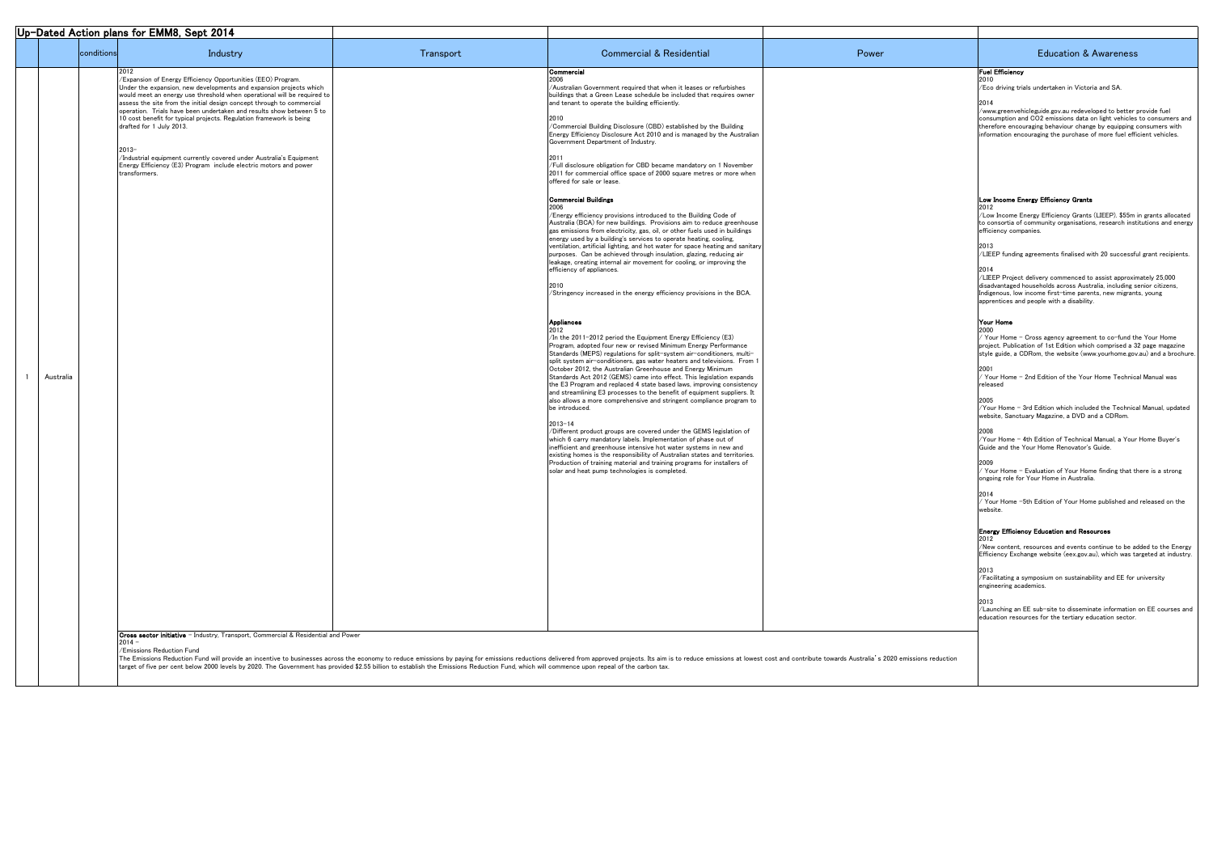| Industry<br>conditions                                                                                                                                                                                                                                                                                                                                                                                                                                                                                                                                                                                                                | Transport | <b>Commercial &amp; Residential</b>                                                                                                                                                                                                                                                                                                                                                                                                                                                                                                                                                                                                                                                                                                                                                                                                                                                                                                                                                                                                                                                                                                                                                                                                                                                                                                                                                                                                                                                                                                                                                                                                                                                                                                                                                                                                                                                                                                                                                                                                                                                                                                                                                                                                                                                                                                                                                                       | Power | <b>Education &amp; Awareness</b>                                                                                                                                                                                                                                                                                                                                                                                                                                                                                                                                                                                                                                                                                                                                                                                                                                                                                                                                                                                                                                                                                                                                                                                                                                                                                                                                                                                                                                                                                                                                                                                                                                                                                                                                             |
|---------------------------------------------------------------------------------------------------------------------------------------------------------------------------------------------------------------------------------------------------------------------------------------------------------------------------------------------------------------------------------------------------------------------------------------------------------------------------------------------------------------------------------------------------------------------------------------------------------------------------------------|-----------|-----------------------------------------------------------------------------------------------------------------------------------------------------------------------------------------------------------------------------------------------------------------------------------------------------------------------------------------------------------------------------------------------------------------------------------------------------------------------------------------------------------------------------------------------------------------------------------------------------------------------------------------------------------------------------------------------------------------------------------------------------------------------------------------------------------------------------------------------------------------------------------------------------------------------------------------------------------------------------------------------------------------------------------------------------------------------------------------------------------------------------------------------------------------------------------------------------------------------------------------------------------------------------------------------------------------------------------------------------------------------------------------------------------------------------------------------------------------------------------------------------------------------------------------------------------------------------------------------------------------------------------------------------------------------------------------------------------------------------------------------------------------------------------------------------------------------------------------------------------------------------------------------------------------------------------------------------------------------------------------------------------------------------------------------------------------------------------------------------------------------------------------------------------------------------------------------------------------------------------------------------------------------------------------------------------------------------------------------------------------------------------------------------------|-------|------------------------------------------------------------------------------------------------------------------------------------------------------------------------------------------------------------------------------------------------------------------------------------------------------------------------------------------------------------------------------------------------------------------------------------------------------------------------------------------------------------------------------------------------------------------------------------------------------------------------------------------------------------------------------------------------------------------------------------------------------------------------------------------------------------------------------------------------------------------------------------------------------------------------------------------------------------------------------------------------------------------------------------------------------------------------------------------------------------------------------------------------------------------------------------------------------------------------------------------------------------------------------------------------------------------------------------------------------------------------------------------------------------------------------------------------------------------------------------------------------------------------------------------------------------------------------------------------------------------------------------------------------------------------------------------------------------------------------------------------------------------------------|
| /Expansion of Energy Efficiency Opportunities (EEO) Program.<br>Under the expansion, new developments and expansion projects which<br>would meet an energy use threshold when operational will be required to<br>assess the site from the initial design concept through to commercial<br>operation. Trials have been undertaken and results show between 5 to<br>10 cost benefit for typical projects. Regulation framework is being<br>drafted for 1 July 2013.<br>2013-<br>Industrial equipment currently covered under Australia's Equipment<br>Energy Efficiency (E3) Program include electric motors and power<br>transformers. |           | <b>Commercial</b><br>Australian Government required that when it leases or refurbishes<br>buildings that a Green Lease schedule be included that requires owner<br>and tenant to operate the building efficiently.<br>/Commercial Building Disclosure (CBD) established by the Building<br>Energy Efficiency Disclosure Act 2010 and is managed by the Australian<br>Government Department of Industry.<br>/Full disclosure obligation for CBD became mandatory on 1 November<br>2011 for commercial office space of 2000 square metres or more when<br>offered for sale or lease.<br><b>Commercial Buildings</b><br>/Energy efficiency provisions introduced to the Building Code of<br>Australia (BCA) for new buildings. Provisions aim to reduce greenhouse<br>gas emissions from electricity, gas, oil, or other fuels used in buildings<br>energy used by a building's services to operate heating, cooling,<br>ventilation, artificial lighting, and hot water for space heating and sanitary<br>purposes. Can be achieved through insulation, glazing, reducing air<br>leakage, creating internal air movement for cooling, or improving the<br>efficiency of appliances.<br>/Stringency increased in the energy efficiency provisions in the BCA.<br>Appliances<br>2012<br>$1$ In the 2011-2012 period the Equipment Energy Efficiency (E3)<br>Program, adopted four new or revised Minimum Energy Performance<br>Standards (MEPS) regulations for split-system air-conditioners, multi-<br>split system air-conditioners, gas water heaters and televisions. From 1<br>October 2012, the Australian Greenhouse and Energy Minimum<br>Standards Act 2012 (GEMS) came into effect. This legislation expands<br>the E3 Program and replaced 4 state based laws, improving consistency<br>and streamlining E3 processes to the benefit of equipment suppliers. It<br>also allows a more comprehensive and stringent compliance program to<br>be introduced.<br>$2013 - 14$<br>/Different product groups are covered under the GEMS legislation of<br>which 6 carry mandatory labels. Implementation of phase out of<br>inefficient and greenhouse intensive hot water systems in new and<br>existing homes is the responsibility of Australian states and territories.<br>Production of training material and training programs for installers of<br>solar and heat pump technologies is completed. |       | <b>Fuel Efficiency</b><br>/Eco driving trials undertaken in Victoria and SA.<br>/www.greenvehicleguide.gov.au redeveloped to better provide fuel<br>consumption and CO2 emissions data on light vehicles to consumers and<br>therefore encouraging behaviour change by equipping consumers with<br>information encouraging the purchase of more fuel efficient vehicles.<br>Low Income Energy Efficiency Grants<br>/Low Income Energy Efficiency Grants (LIEEP). \$55m in grants allocated<br>to consortia of community organisations, research institutions and energy<br>efficiency companies.<br>/LIEEP funding agreements finalised with 20 successful grant recipients.<br>/LIEEP Project delivery commenced to assist approximately 25,000<br>disadvantaged households across Australia, including senior citizens,<br>Indigenous, low income first-time parents, new migrants, young<br>apprentices and people with a disability.<br>Your Home<br>/ Your Home - Cross agency agreement to co-fund the Your Home<br>project. Publication of 1st Edition which comprised a 32 page magazine<br>style guide, a CDRom, the website (www.yourhome.gov.au) and a brochure<br>/ Your Home - 2nd Edition of the Your Home Technical Manual was<br>released<br>/Your Home - 3rd Edition which included the Technical Manual, updated<br>website, Sanctuary Magazine, a DVD and a CDRom.<br>/Your Home - 4th Edition of Technical Manual, a Your Home Buyer's<br>Guide and the Your Home Renovator's Guide.<br>/ Your Home - Evaluation of Your Home finding that there is a strong<br>ongoing role for Your Home in Australia.<br>$\sqrt{2}$ Your Home -5th Edition of Your Home published and released on the<br>website.<br><b>Energy Efficiency Education and Resources</b> |
|                                                                                                                                                                                                                                                                                                                                                                                                                                                                                                                                                                                                                                       |           |                                                                                                                                                                                                                                                                                                                                                                                                                                                                                                                                                                                                                                                                                                                                                                                                                                                                                                                                                                                                                                                                                                                                                                                                                                                                                                                                                                                                                                                                                                                                                                                                                                                                                                                                                                                                                                                                                                                                                                                                                                                                                                                                                                                                                                                                                                                                                                                                           |       | 2012<br>/New content, resources and events continue to be added to the Energy<br>Efficiency Exchange website (eex.gov.au), which was targeted at industry.<br>/Facilitating a symposium on sustainability and EE for university                                                                                                                                                                                                                                                                                                                                                                                                                                                                                                                                                                                                                                                                                                                                                                                                                                                                                                                                                                                                                                                                                                                                                                                                                                                                                                                                                                                                                                                                                                                                              |
|                                                                                                                                                                                                                                                                                                                                                                                                                                                                                                                                                                                                                                       |           |                                                                                                                                                                                                                                                                                                                                                                                                                                                                                                                                                                                                                                                                                                                                                                                                                                                                                                                                                                                                                                                                                                                                                                                                                                                                                                                                                                                                                                                                                                                                                                                                                                                                                                                                                                                                                                                                                                                                                                                                                                                                                                                                                                                                                                                                                                                                                                                                           |       | engineering academics.<br>/Launching an EE sub-site to disseminate information on EE courses and<br>education resources for the tertiary education sector.                                                                                                                                                                                                                                                                                                                                                                                                                                                                                                                                                                                                                                                                                                                                                                                                                                                                                                                                                                                                                                                                                                                                                                                                                                                                                                                                                                                                                                                                                                                                                                                                                   |

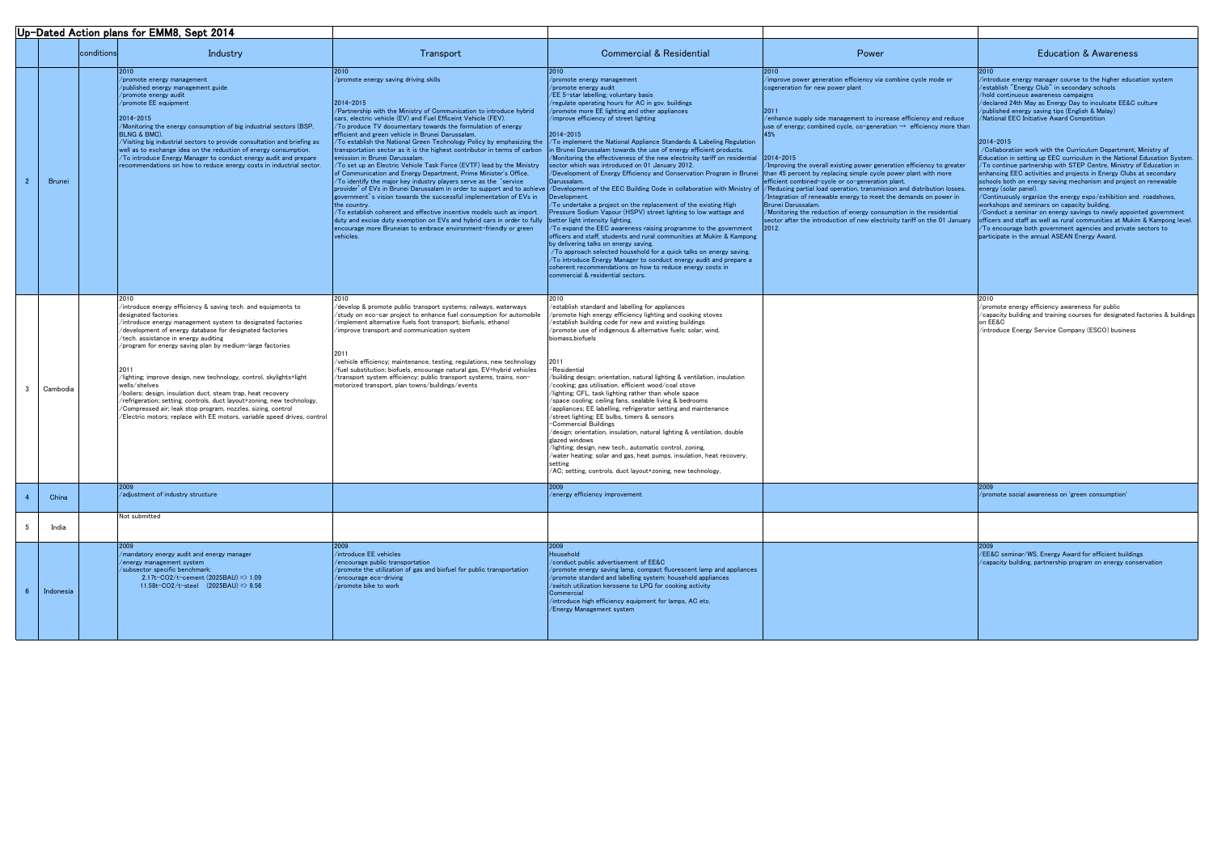| Up-Dated Action plans for EMM8, Sept 2014 |            |                                                                                                                                                                                                                                                                                                                                                                                                                                                                                                                                                                                                                                                                                                                           |                                                                                                                                                                                                                                                                                                                                                                                                                                                                                                                                                                                                                                                                                                                                                                                                                                                                                                                                                                                                                                                                                                                                                                                                                                             |                                                                                                                                                                                                                                                                                                                                                                                                                                                                                                                                                                                                                                                                                                                                                                                                                                                                                                                                                                                                                                                                                                                                                                                                                                                                                                                                                                                                            |                                                                                                                                                                                                                                                                                                                                                                                                                                                                                                                                                                                                                                                         |                                                                                                                                                                                                                                                                                                                                                                                                                                                                                                                                                                                                                                                                                                                                                                                                                                                                                                                                                                                                                                                                                                                              |
|-------------------------------------------|------------|---------------------------------------------------------------------------------------------------------------------------------------------------------------------------------------------------------------------------------------------------------------------------------------------------------------------------------------------------------------------------------------------------------------------------------------------------------------------------------------------------------------------------------------------------------------------------------------------------------------------------------------------------------------------------------------------------------------------------|---------------------------------------------------------------------------------------------------------------------------------------------------------------------------------------------------------------------------------------------------------------------------------------------------------------------------------------------------------------------------------------------------------------------------------------------------------------------------------------------------------------------------------------------------------------------------------------------------------------------------------------------------------------------------------------------------------------------------------------------------------------------------------------------------------------------------------------------------------------------------------------------------------------------------------------------------------------------------------------------------------------------------------------------------------------------------------------------------------------------------------------------------------------------------------------------------------------------------------------------|------------------------------------------------------------------------------------------------------------------------------------------------------------------------------------------------------------------------------------------------------------------------------------------------------------------------------------------------------------------------------------------------------------------------------------------------------------------------------------------------------------------------------------------------------------------------------------------------------------------------------------------------------------------------------------------------------------------------------------------------------------------------------------------------------------------------------------------------------------------------------------------------------------------------------------------------------------------------------------------------------------------------------------------------------------------------------------------------------------------------------------------------------------------------------------------------------------------------------------------------------------------------------------------------------------------------------------------------------------------------------------------------------------|---------------------------------------------------------------------------------------------------------------------------------------------------------------------------------------------------------------------------------------------------------------------------------------------------------------------------------------------------------------------------------------------------------------------------------------------------------------------------------------------------------------------------------------------------------------------------------------------------------------------------------------------------------|------------------------------------------------------------------------------------------------------------------------------------------------------------------------------------------------------------------------------------------------------------------------------------------------------------------------------------------------------------------------------------------------------------------------------------------------------------------------------------------------------------------------------------------------------------------------------------------------------------------------------------------------------------------------------------------------------------------------------------------------------------------------------------------------------------------------------------------------------------------------------------------------------------------------------------------------------------------------------------------------------------------------------------------------------------------------------------------------------------------------------|
|                                           | conditions | Industry                                                                                                                                                                                                                                                                                                                                                                                                                                                                                                                                                                                                                                                                                                                  | Transport                                                                                                                                                                                                                                                                                                                                                                                                                                                                                                                                                                                                                                                                                                                                                                                                                                                                                                                                                                                                                                                                                                                                                                                                                                   | <b>Commercial &amp; Residential</b>                                                                                                                                                                                                                                                                                                                                                                                                                                                                                                                                                                                                                                                                                                                                                                                                                                                                                                                                                                                                                                                                                                                                                                                                                                                                                                                                                                        | Power                                                                                                                                                                                                                                                                                                                                                                                                                                                                                                                                                                                                                                                   | <b>Education &amp; Awareness</b>                                                                                                                                                                                                                                                                                                                                                                                                                                                                                                                                                                                                                                                                                                                                                                                                                                                                                                                                                                                                                                                                                             |
| Brunei                                    |            | $/$ promote energy management<br>/published energy management guide<br>/promote energy audit<br>/promote EE equipment<br>2014-2015<br>/Monitoring the energy consumption of big industrial sectors (BSP,<br><b>BLNG &amp; BMC).</b><br>/Visiting big industrial sectors to provide consultation and briefing as<br>well as to exchange idea on the reduction of energy consumption.<br>$/$ To introduce Energy Manager to conduct energy audit and prepare<br>recommendations on how to reduce energy costs in inductrial sector.                                                                                                                                                                                         | 2010<br>/promote energy saving driving skills<br>2014-2015<br>/Partnership with the Ministry of Communication to introduce hybrid<br>cars, electric vehicle (EV) and Fuel Efficeint Vehicle (FEV).<br>/To produce TV documentary towards the formulation of energy<br>efficient and green vehicle in Brunei Darussalam.<br>/To establish the National Green Technology Policy by emphasizing the $\,$ /To implement the National Appliance Standards & Labeling Regulation<br>transportation sector as it is the highest contributor in terms of carbon in Brunei Darussalam towards the use of energy efficient products.<br>emission in Brunei Darussalam.<br>/To set up an Electric Vehicle Task Force (EVTF) lead by the Ministry<br>of Communication and Energy Department, Prime Minister's Office.<br>/To identify the major key industry players serve as the 'service'<br>government's vision towards the successful implementation of EVs in<br>the country.<br>/To establish coherent and effective incentive models such as import<br>duty and excise duty exemption on EVs and hybrid cars in order to fully better light intensity lighting.<br>encourage more Bruneian to embrace environment-friendly or green<br>vehicles. | /promote energy management<br>/promote energy audit<br>/EE 5-star labelling; voluntary basis<br>/regulate operating hours for AC in gov. buildings<br>/promote more EE lighting and other appliances<br>/improve efficiency of street lighting<br>2014-2015<br>Monitoring the effectiveness of the new electricity tariff on residential $\,$ 2014-2015<br>sector which was introduced on 01 January 2012.<br>/Development of Energy Efficiency and Conservation Program in Brunei than 45 percent by replacing simple cycle power plant with more<br>Darussalam.<br>provider' of EVs in Brunei Darussalam in order to support and to achieve  /Development of the EEC Building Code in collaboration with Ministry of  /Reducing partial load operation, transmission and distribution losses.<br>Development.<br>$\sqrt{10}$ undertake a project on the replacement of the existing High<br>Pressure Sodium Vapour (HSPV) street lighting to low wattage and<br>$\sqrt{7}$ expand the EEC awareness raising programme to the government<br>officers and staff, students and rural communities at Mukim & Kampong<br>by delivering talks on energy saving.<br>/To approach selected household for a quick talks on energy saving.<br>/To introduce Energy Manager to conduct energy audit and prepare a<br>coherent recommendations on how to reduce energy costs in<br>commercial & residential sectors. | /improve power generation efficiency via combine cycle mode or<br>cogeneration for new power plant<br>12011<br>/enhance supply side management to increase efficiency and reduce<br>use of energy; combined cycle, co-generation $\rightarrow$ efficiency more than<br>/Improving the overall existing power generation efficiency to greater<br>efficient combined-cycle or co-generation plant.<br>/Integration of renewable energy to meet the demands on power in<br>Brunei Darussalam.<br>/Monitoring the reduction of energy consumption in the residential<br>sector after the introduction of new electricity tariff on the 01 January<br>2012. | /introduce energy manager course to the higher education system<br>/establish "Energy Club" in secondary schools<br>/hold continuous awareness campaigns<br>/declared 24th May as Energy Day to inculcate EE&C culture<br>/published energy saving tips (English & Malay)<br>/National EEC Initiative Award Competition<br>$ 2014 - 2015 $<br>/Collaboration work with the Curriculum Department, Ministry of<br>Education in setting up EEC curriculum in the National Education System.<br>/To continue partnership with STEP Centre, Ministry of Education in<br>enhancing EEC activities and projects in Energy Clubs at secondary<br>schools both on energy saving mechanism and project on renewable<br>energy (solar panel).<br>/Continuously organize the energy expo/exhibition and roadshows,<br>workshops and seminars on capacity building.<br>/Conduct a seminar on energy savings to newly appointed government<br>officers and staff as well as rural communities at Mukim & Kampong level.<br>/To encourage both government agencies and private sectors to<br>participate in the annual ASEAN Energy Award. |
| Cambodia                                  |            | 2010<br>$\!$ introduce energy efficiency & saving tech. and equipments to<br>designated factories<br>$\sqrt{2}$ introduce energy management system to designated factories<br>/development of energy database for designated factories<br>/tech. assistance in energy auditing<br>/program for energy saving plan by medium-large factories<br>lighting; improve design, new technology, control, skylights+light/<br>wells/shelves<br>/boilers; design, insulation duct, steam trap, heat recovery<br>/refrigeration; setting, controls, duct layout+zoning, new technology,<br>/Compressed air; leak stop program, nozzles, sizing, control<br>/Electric motors; replace with EE motors, variable speed drives, control | 2010<br>/develop & promote public transport systems; railways, waterways<br>study on eco-car project to enhance fuel consumption for automobile<br>implement alternative fuels foot transport; biofuels, ethanol<br>/improve transport and communication system<br>vehicle efficiency; maintenance, testing, regulations, new technology<br>fuel substitution; biofuels, encourage natural gas, EV+hybrid vehicles<br>transport system efficiency; public transport systems, trains, non-<br>motorized transport, plan towns/buildings/events                                                                                                                                                                                                                                                                                                                                                                                                                                                                                                                                                                                                                                                                                               | /establish standard and labelling for appliances<br>/promote high energy efficiency lighting and cooking stoves<br>/establish building code for new and existing buildings<br>/promote use of indigenous & alternative fuels; solar, wind,<br>biomass, biofuels<br>2011<br>-Residential<br>/building design; orientation, natural lighting & ventilation, insulation<br>$\alpha$ ooking; gas utilisation, efficient wood $\alpha$ oal stove $\alpha$<br>lighting; CFL, task lighting rather than whole space<br>$\gamma$ space cooling; ceiling fans, sealable living & bedrooms<br>$\alpha$ appliances; EE labelling, refrigerator setting and maintenance<br>street lighting; EE bulbs, timers & sensors<br>-Commercial Buildings<br>$\alpha$ design; orientation, insulation, natural lighting & ventilation, double<br>glazed windows<br>lighting; design, new tech., automatic control, zoning,<br>/water heating; solar and gas, heat pumps, insulation, heat recovery,<br>setting<br>/AC; setting, controls, duct layout+zoning, new technology,                                                                                                                                                                                                                                                                                                                                                    |                                                                                                                                                                                                                                                                                                                                                                                                                                                                                                                                                                                                                                                         | /promote energy efficiency awareness for public<br>/capacity building and training courses for designated factories & buildings<br>/introduce Energy Service Company (ESCO) business                                                                                                                                                                                                                                                                                                                                                                                                                                                                                                                                                                                                                                                                                                                                                                                                                                                                                                                                         |
| China                                     |            | /adjustment of industry structure                                                                                                                                                                                                                                                                                                                                                                                                                                                                                                                                                                                                                                                                                         |                                                                                                                                                                                                                                                                                                                                                                                                                                                                                                                                                                                                                                                                                                                                                                                                                                                                                                                                                                                                                                                                                                                                                                                                                                             | energy efficiency improvement                                                                                                                                                                                                                                                                                                                                                                                                                                                                                                                                                                                                                                                                                                                                                                                                                                                                                                                                                                                                                                                                                                                                                                                                                                                                                                                                                                              |                                                                                                                                                                                                                                                                                                                                                                                                                                                                                                                                                                                                                                                         | /promote social awareness on 'green consumption'                                                                                                                                                                                                                                                                                                                                                                                                                                                                                                                                                                                                                                                                                                                                                                                                                                                                                                                                                                                                                                                                             |
| India                                     |            | Not submitted                                                                                                                                                                                                                                                                                                                                                                                                                                                                                                                                                                                                                                                                                                             |                                                                                                                                                                                                                                                                                                                                                                                                                                                                                                                                                                                                                                                                                                                                                                                                                                                                                                                                                                                                                                                                                                                                                                                                                                             |                                                                                                                                                                                                                                                                                                                                                                                                                                                                                                                                                                                                                                                                                                                                                                                                                                                                                                                                                                                                                                                                                                                                                                                                                                                                                                                                                                                                            |                                                                                                                                                                                                                                                                                                                                                                                                                                                                                                                                                                                                                                                         |                                                                                                                                                                                                                                                                                                                                                                                                                                                                                                                                                                                                                                                                                                                                                                                                                                                                                                                                                                                                                                                                                                                              |
| Indonesia                                 |            | /mandatory energy audit and energy manager<br>/energy management system<br>/subsector specific benchmark;<br>2.17t-CO2/t-cement $(2025BAU)$ => 1.09<br>11.58t-CO2/t-steel $(2025BAU) \Rightarrow 9.56$                                                                                                                                                                                                                                                                                                                                                                                                                                                                                                                    | 2009<br>/introduce EE vehicles<br>/encourage public transportation<br>/promote the utilization of gas and biofuel for public transportation<br>/encourage eco-driving<br>/promote bike to work                                                                                                                                                                                                                                                                                                                                                                                                                                                                                                                                                                                                                                                                                                                                                                                                                                                                                                                                                                                                                                              | Household<br>/conduct public advertisement of EE&C<br>/promote energy saving lamp, compact fluorescent lamp and appliances<br>/promote standard and labelling system; household appliances<br>/switch utilization kerosene to LPG for cooking activity<br>Commercial<br>/introduce high efficiency equipment for lamps, AC etc.<br>/Energy Management system                                                                                                                                                                                                                                                                                                                                                                                                                                                                                                                                                                                                                                                                                                                                                                                                                                                                                                                                                                                                                                               |                                                                                                                                                                                                                                                                                                                                                                                                                                                                                                                                                                                                                                                         | /EE&C seminar/WS, Energy Award for efficient buildings<br>$\sqrt{2}$ capacity building, partnership program on energy conservation                                                                                                                                                                                                                                                                                                                                                                                                                                                                                                                                                                                                                                                                                                                                                                                                                                                                                                                                                                                           |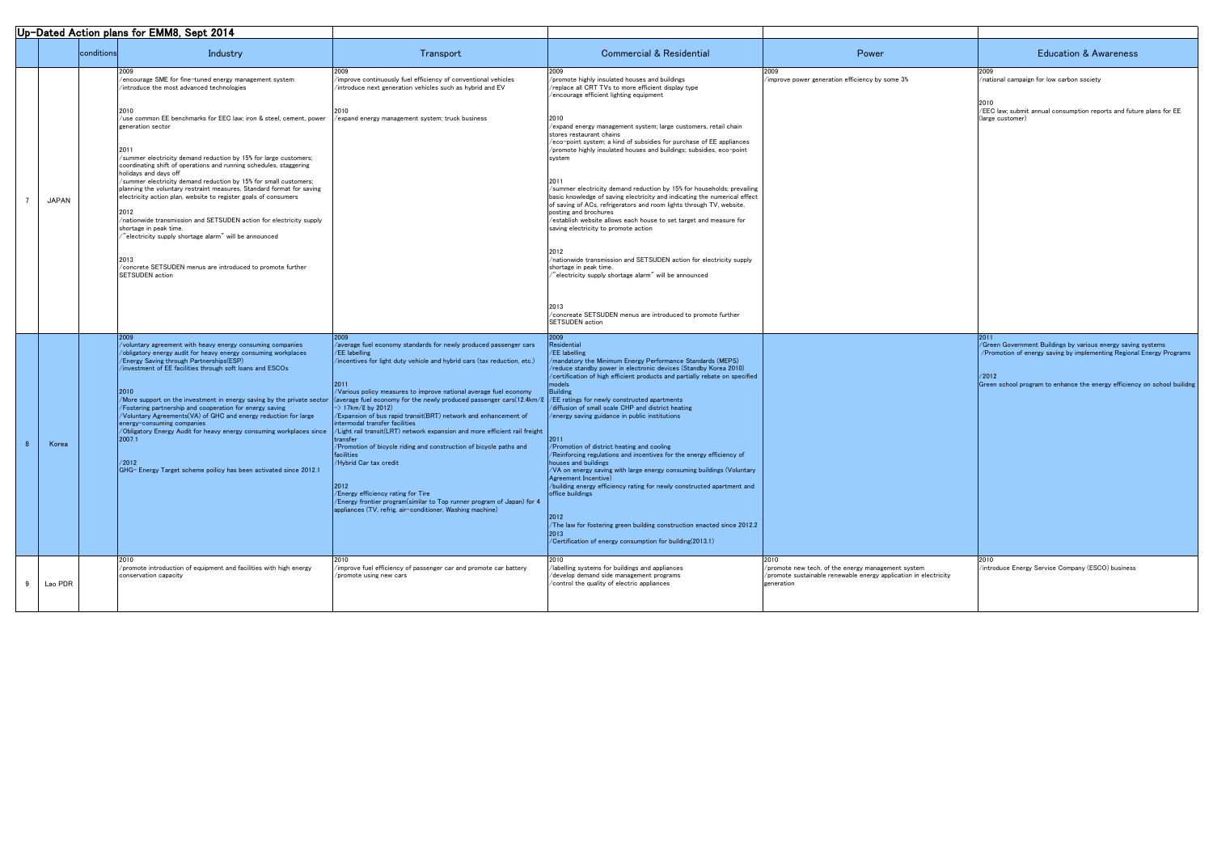| Up-Dated Action plans for EMM8, Sept 2014 |                                                                                                                                                                                                                                             |                                                                                                                             |                                                                                                                                                                                                                                                                                                                            |                                                                                                                        |                                                                                                                                       |
|-------------------------------------------|---------------------------------------------------------------------------------------------------------------------------------------------------------------------------------------------------------------------------------------------|-----------------------------------------------------------------------------------------------------------------------------|----------------------------------------------------------------------------------------------------------------------------------------------------------------------------------------------------------------------------------------------------------------------------------------------------------------------------|------------------------------------------------------------------------------------------------------------------------|---------------------------------------------------------------------------------------------------------------------------------------|
| conditions                                | Industry                                                                                                                                                                                                                                    | Transport                                                                                                                   | <b>Commercial &amp; Residential</b>                                                                                                                                                                                                                                                                                        | Power                                                                                                                  | <b>Education &amp; Awareness</b>                                                                                                      |
|                                           | /encourage SME for fine-tuned energy management system<br>introduce the most advanced technologies                                                                                                                                          | /improve continuously fuel efficiency of conventional vehicles<br>/introduce next generation vehicles such as hybrid and EV | 2009<br>/promote highly insulated houses and buildings<br>/replace all CRT TVs to more efficient display type<br>$\sqrt{2}$ encourage efficient lighting equipment                                                                                                                                                         | /improve power generation efficiency by some 3%                                                                        | /national campaign for low carbon society                                                                                             |
|                                           | 2010<br>/use common EE benchmarks for EEC law; iron & steel, cement, power<br>generation sector                                                                                                                                             | expand energy management system; truck business                                                                             | 2010<br>/expand energy management system; large customers, retail chain<br>stores restaurant chains<br>/eco-point system; a kind of subsidies for purchase of EE appliances                                                                                                                                                |                                                                                                                        | /EEC law; submit annual consumption reports and future plans for EE<br>(large customer)                                               |
|                                           | 2011<br>/summer electricity demand reduction by 15% for large customers;<br>coordinating shift of operations and running schedules, staggering<br>holidays and days off<br>/summer electricity demand reduction by 15% for small customers; |                                                                                                                             | /promote highly insulated houses and buildings; subsidies, eco-point<br>system<br>2011                                                                                                                                                                                                                                     |                                                                                                                        |                                                                                                                                       |
| <b>JAPAN</b>                              | planning the voluntary restraint measures, Standard format for saving<br>electricity action plan, website to register goals of consumers<br>2012<br>/nationwide transmission and SETSUDEN action for electricity supply                     |                                                                                                                             | /summer electricity demand reduction by 15% for households; prevailing<br>basic knowledge of saving electricity and indicating the numerical effect<br>of saving of ACs, refrigerators and room lights through TV, website,<br>posting and brochures<br>/establish website allows each house to set target and measure for |                                                                                                                        |                                                                                                                                       |
|                                           | shortage in peak time.<br>$\H$ electricity supply shortage alarm $\H'$ will be announced                                                                                                                                                    |                                                                                                                             | saving electricity to promote action                                                                                                                                                                                                                                                                                       |                                                                                                                        |                                                                                                                                       |
|                                           | 2013<br>/concrete SETSUDEN menus are introduced to promote further<br>SETSUDEN action                                                                                                                                                       |                                                                                                                             | /nationwide transmission and SETSUDEN action for electricity supply<br>shortage in peak time.<br>$^{\prime\prime}$ electricity supply shortage alarm $^{\prime\prime}$ will be announced                                                                                                                                   |                                                                                                                        |                                                                                                                                       |
|                                           |                                                                                                                                                                                                                                             |                                                                                                                             | 2013<br>/concreate SETSUDEN menus are introduced to promote further<br>SETSUDEN action                                                                                                                                                                                                                                     |                                                                                                                        |                                                                                                                                       |
|                                           | 2009                                                                                                                                                                                                                                        |                                                                                                                             | 2009                                                                                                                                                                                                                                                                                                                       |                                                                                                                        |                                                                                                                                       |
|                                           | /voluntary agreement with heavy energy consuming companies<br>/obligatory energy audit for heavy energy consuming workplaces                                                                                                                | /average fuel economy standards for newly produced passenger cars<br>$\sqrt{EE}$ labelling                                  | Residential<br>/EE labelling                                                                                                                                                                                                                                                                                               |                                                                                                                        | /Green Government Buildings by various energy saving systems<br>7 Promotion of energy saving by implementing Regional Energy Programs |
|                                           | /Energy Saving through Partnerships(ESP)                                                                                                                                                                                                    | /incentives for light duty vehicle and hybrid cars (tax reduction, etc.)                                                    | $\sqrt{2}$ mandatory the Minimum Energy Performance Standards (MEPS)                                                                                                                                                                                                                                                       |                                                                                                                        |                                                                                                                                       |
|                                           | /investment of EE facilities through soft loans and ESCOs                                                                                                                                                                                   |                                                                                                                             | /reduce standby power in electronic devices (Standby Korea 2010)<br>/certification of high efficient products and partially rebate on specified                                                                                                                                                                            |                                                                                                                        | /2012                                                                                                                                 |
|                                           |                                                                                                                                                                                                                                             | 12011<br>/Various policy measures to improve national average fuel economy                                                  | Building                                                                                                                                                                                                                                                                                                                   |                                                                                                                        | Green school program to enhance the energy efficiency on school builid                                                                |
|                                           | /More support on the investment in energy saving by the private sector                                                                                                                                                                      | (average fuel economy for the newly produced passenger cars(12.4km/l $\,$ /EE ratings for newly constructed apartments      |                                                                                                                                                                                                                                                                                                                            |                                                                                                                        |                                                                                                                                       |
|                                           | /Fostering partnership and cooperation for energy saving<br>/Voluntary Agreements(VA) of GHC and energy reduction for large                                                                                                                 | $\ket{-}$ 17km/2 by 2012)<br>/Expansion of bus rapid transit(BRT) network and enhancement of                                | /diffusion of small scale CHP and district heating<br>energy saving guidance in public institutions                                                                                                                                                                                                                        |                                                                                                                        |                                                                                                                                       |
|                                           | energy-consuming companies<br>/Obligatory Energy Audit for heavy energy consuming workplaces since                                                                                                                                          | intermodal transfer facilities<br>$\sim$ Light rail transit(LRT) network expansion and more efficient rail freight          |                                                                                                                                                                                                                                                                                                                            |                                                                                                                        |                                                                                                                                       |
| Korea                                     | 2007.1                                                                                                                                                                                                                                      | Itransfer                                                                                                                   | 2011                                                                                                                                                                                                                                                                                                                       |                                                                                                                        |                                                                                                                                       |
|                                           |                                                                                                                                                                                                                                             | /Promotion of bicycle riding and construction of bicycle paths and<br><i>diacilities</i>                                    | /Promotion of district heating and cooling<br>/Reinforcing regulations and incentives for the energy efficiency of                                                                                                                                                                                                         |                                                                                                                        |                                                                                                                                       |
|                                           | /2012<br>GHG- Energy Target scheme poilicy has been activated since 2012.1                                                                                                                                                                  | /Hybrid Car tax credit                                                                                                      | houses and buildings<br>/VA on energy saving with large energy consuming buildings (Voluntary                                                                                                                                                                                                                              |                                                                                                                        |                                                                                                                                       |
|                                           |                                                                                                                                                                                                                                             | $ 2012\rangle$                                                                                                              | Agreement Incentive)<br>/building energy efficiency rating for newly constructed apartment and                                                                                                                                                                                                                             |                                                                                                                        |                                                                                                                                       |
|                                           |                                                                                                                                                                                                                                             | /Energy efficiency rating for Tire<br>/Energy frontier program(similar to Top runner program of Japan) for 4                | office buildings                                                                                                                                                                                                                                                                                                           |                                                                                                                        |                                                                                                                                       |
|                                           |                                                                                                                                                                                                                                             | appliances (TV, refrig. air-conditioner, Washing machine)                                                                   |                                                                                                                                                                                                                                                                                                                            |                                                                                                                        |                                                                                                                                       |
|                                           |                                                                                                                                                                                                                                             |                                                                                                                             | 12012<br>/The law for fostering green building construction enacted since 2012.2                                                                                                                                                                                                                                           |                                                                                                                        |                                                                                                                                       |
|                                           |                                                                                                                                                                                                                                             |                                                                                                                             | /Certification of energy consumption for building(2013.1)                                                                                                                                                                                                                                                                  |                                                                                                                        |                                                                                                                                       |
|                                           |                                                                                                                                                                                                                                             |                                                                                                                             | 2010                                                                                                                                                                                                                                                                                                                       | 2010                                                                                                                   |                                                                                                                                       |
|                                           | /promote introduction of equipment and facilities with high energy<br>conservation capacity                                                                                                                                                 | $\sqrt{2}$ improve fuel efficiency of passenger car and promote car battery<br>/promote using new cars                      | labelling systems for buildings and appliances<br>/develop demand side management programs                                                                                                                                                                                                                                 | /promote new tech. of the energy management system<br>/promote sustainable renewable energy application in electricity | /introduce Energy Service Company (ESCO) business                                                                                     |
| Lao PDR                                   |                                                                                                                                                                                                                                             |                                                                                                                             | control the quality of electric appliances                                                                                                                                                                                                                                                                                 | generation                                                                                                             |                                                                                                                                       |
|                                           |                                                                                                                                                                                                                                             |                                                                                                                             |                                                                                                                                                                                                                                                                                                                            |                                                                                                                        |                                                                                                                                       |

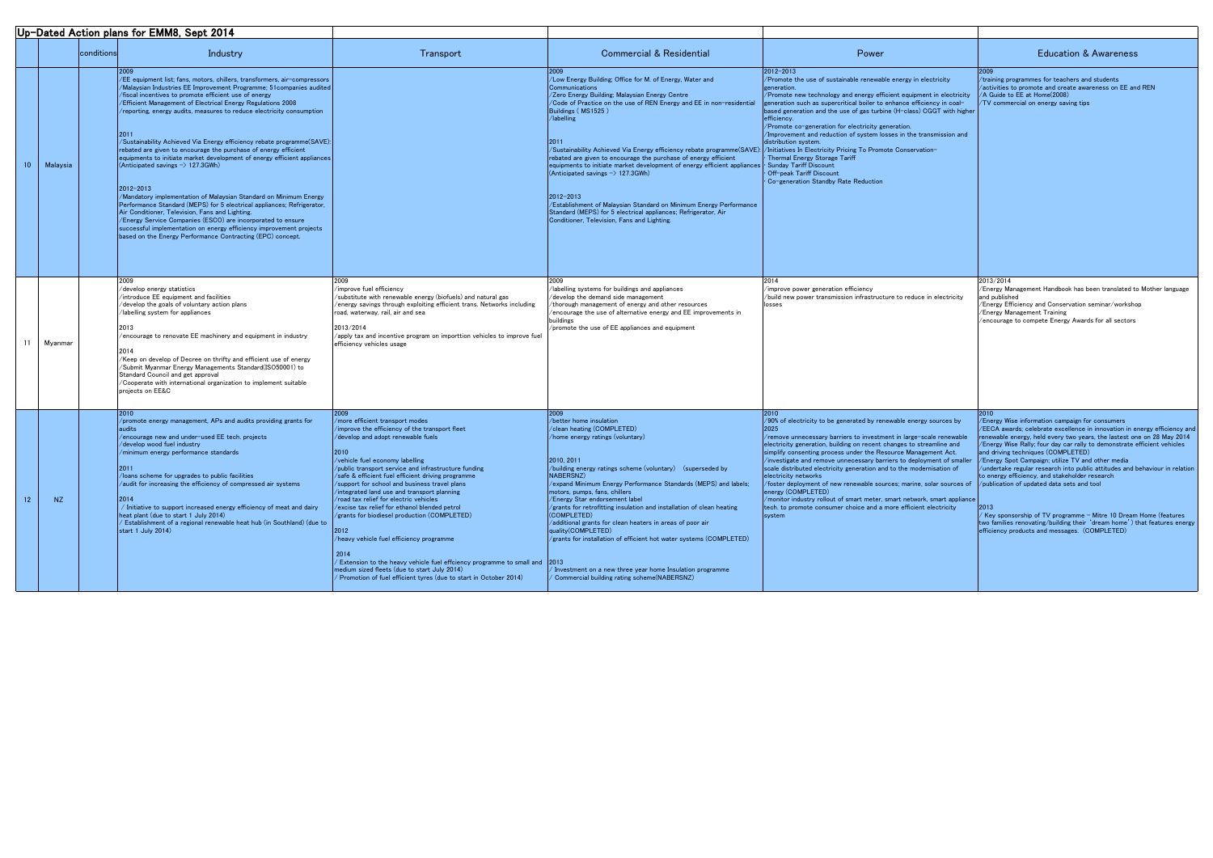|    |           |            | Up-Dated Action plans for EMM8, Sept 2014                                                                                                                                                                                                                                                                                                                                                                                                                                                                                                                                                        |                                                                                                                                                                                                                                                                                                                                                                                                                                                                                                                                                                                                                                                                                                                                                                                                                  |                                                                                                                                                                                                                                                                                                          |
|----|-----------|------------|--------------------------------------------------------------------------------------------------------------------------------------------------------------------------------------------------------------------------------------------------------------------------------------------------------------------------------------------------------------------------------------------------------------------------------------------------------------------------------------------------------------------------------------------------------------------------------------------------|------------------------------------------------------------------------------------------------------------------------------------------------------------------------------------------------------------------------------------------------------------------------------------------------------------------------------------------------------------------------------------------------------------------------------------------------------------------------------------------------------------------------------------------------------------------------------------------------------------------------------------------------------------------------------------------------------------------------------------------------------------------------------------------------------------------|----------------------------------------------------------------------------------------------------------------------------------------------------------------------------------------------------------------------------------------------------------------------------------------------------------|
|    |           | conditions | Industry                                                                                                                                                                                                                                                                                                                                                                                                                                                                                                                                                                                         | Transport                                                                                                                                                                                                                                                                                                                                                                                                                                                                                                                                                                                                                                                                                                                                                                                                        |                                                                                                                                                                                                                                                                                                          |
|    |           |            | 2009<br>/EE equipment list; fans, motors, chillers, transformers, air-compressors<br>/Malaysian Industries EE Improvement Programme; 51 companies audited<br>/fiscal incentives to promote efficient use of energy<br><b>Efficient Management of Electrical Energy Regulations 2008</b><br>$\ell$ reporting, energy audits, measures to reduce electricity consumption<br>2011                                                                                                                                                                                                                   |                                                                                                                                                                                                                                                                                                                                                                                                                                                                                                                                                                                                                                                                                                                                                                                                                  | 2009<br>/Low Energy<br>Communicat<br>/Zero Energ<br>/Code of Pr<br><b>Buildings (N</b><br>/labelling                                                                                                                                                                                                     |
| 10 | Malaysia  |            | /Sustainability Achieved Via Energy efficiency rebate programme(SAVE):<br>rebated are given to encourage the purchase of energy efficient<br>equipments to initiate market development of energy efficient appliances<br>(Anticipated savings $\rightarrow$ 127.3GWh)<br>$2012 - 2013$                                                                                                                                                                                                                                                                                                           |                                                                                                                                                                                                                                                                                                                                                                                                                                                                                                                                                                                                                                                                                                                                                                                                                  | <b>2011</b><br>/Sustainabili<br>rebated are<br>equipments<br>(Anticipated                                                                                                                                                                                                                                |
|    |           |            | /Mandatory implementation of Malaysian Standard on Minimum Energy<br>Performance Standard (MEPS) for 5 electrical appliances; Refrigerator,<br>Air Conditioner, Television, Fans and Lighting.<br>/Energy Service Companies (ESCO) are incorporated to ensure<br>successful implementation on energy efficiency improvement projects<br>based on the Energy Performance Contracting (EPC) concept.                                                                                                                                                                                               |                                                                                                                                                                                                                                                                                                                                                                                                                                                                                                                                                                                                                                                                                                                                                                                                                  | $ 2012 - 2013 $<br>/Establishm<br>Standard (M<br>Conditioner,                                                                                                                                                                                                                                            |
|    |           |            | 2009                                                                                                                                                                                                                                                                                                                                                                                                                                                                                                                                                                                             | 2009                                                                                                                                                                                                                                                                                                                                                                                                                                                                                                                                                                                                                                                                                                                                                                                                             | 2009                                                                                                                                                                                                                                                                                                     |
| 11 | Myanmar   |            | /develop energy statistics<br>introduce EE equipment and facilities<br>/develop the goals of voluntary action plans<br>labelling system for appliances<br>2013<br>$\ell$ encourage to renovate EE machinery and equipment in industry<br>2014<br>/Keep on develop of Decree on thrifty and efficient use of energy<br>/Submit Myanmar Energy Managements Standard(ISO50001) to<br>Standard Council and get approval<br>$\sqrt{2}$ Cooperate with international organization to implement suitable<br>projects on EE&C                                                                            | /improve fuel efficiency<br>/substitute with renewable energy (biofuels) and natural gas<br>$\ell$ energy savings through exploiting efficient trans. Networks including<br>road, waterway, rail, air and sea<br>2013/2014<br>$\alpha$ /apply tax and incentive program on importtion vehicles to improve fuel<br>efficiency vehicles usage                                                                                                                                                                                                                                                                                                                                                                                                                                                                      | /labelling sy<br>/develop the<br>/thorough m<br>/encourage<br>buildings<br>/promote th                                                                                                                                                                                                                   |
| 12 | <b>NZ</b> |            | 2010<br>/promote energy management, $APs$ and audits providing grants for<br>audits<br>/encourage new and under-used $\mathsf{EE}$ tech. projects<br>/develop wood fuel industry<br>$\sqrt{m}$ inimum energy performance standards<br>2011<br>/loans scheme for upgrades to public facilities<br>$\alpha$ audit for increasing the efficiency of compressed air systems<br>2014<br>/ Initiative to support increased energy efficiency of meat and dairy<br>heat plant (due to start 1 July 2014)<br>Establishment of a regional renewable heat hub (in Southland) (due to<br>start 1 July 2014) | 2009<br>/more efficient transport modes<br>/improve the efficiency of the transport fleet<br>/develop and adopt renewable fuels<br>2010<br>/vehicle fuel economy labelling<br>$\sqrt{2}$ public transport service and infrastructure funding<br>/safe & efficient fuel efficient driving programme<br>support for school and business travel plans<br>/integrated land use and transport planning<br>/road tax relief for electric vehicles<br>$\sqrt{$ excise tax relief for ethanol blended petrol<br>/grants for biodiesel production (COMPLETED)<br>2012<br>/heavy vehicle fuel efficiency programme<br>2014<br>/ Extension to the heavy vehicle fuel effciency programme to small and<br>medium sized fleets (due to start July 2014)<br>/ Promotion of fuel efficient tyres (due to start in October 2014) | 2009<br>/better hom<br>$\sqrt{\rm{clean}}$ heati<br>$/$ home energ<br>2010, 2011<br>/building ene<br>NABERSNZ)<br>/expand Min<br>motors, pum<br>/Energy Sta<br>/grants for $\mathsf r$<br><b>(COMPLETE</b><br>additional g/<br>quality(COM<br>/grants for i<br> 2013 <br>$\sqrt{}$ Investmen<br>Commerci |

|            | <b>ELION DIANS TOF ENINO, OUDL ZUT4</b>                                                                                                                                                                                                                                                                                                                                                                                                                                                                                                                                                                                                                                                                                                                                                                                                                                                                                                                                                                                                                          |                                                                                                                                                                                                                                                                                                                                                                                                                                                                                                                                                                                                                                                                                                                                                                                                        |                                                                                                                                                                                                                                                                                                                                                                                                                                                                                                                                                                                                                                                                                                                                      |                                                                                                                                                                                                                                                                                                                                                                                                                                                                                                                                                                                                                                                                                                                     |                                                                                                                                                                                                                                                                                                                                                                                                                                                                                                                                                                                                                                                                                                                                                           |
|------------|------------------------------------------------------------------------------------------------------------------------------------------------------------------------------------------------------------------------------------------------------------------------------------------------------------------------------------------------------------------------------------------------------------------------------------------------------------------------------------------------------------------------------------------------------------------------------------------------------------------------------------------------------------------------------------------------------------------------------------------------------------------------------------------------------------------------------------------------------------------------------------------------------------------------------------------------------------------------------------------------------------------------------------------------------------------|--------------------------------------------------------------------------------------------------------------------------------------------------------------------------------------------------------------------------------------------------------------------------------------------------------------------------------------------------------------------------------------------------------------------------------------------------------------------------------------------------------------------------------------------------------------------------------------------------------------------------------------------------------------------------------------------------------------------------------------------------------------------------------------------------------|--------------------------------------------------------------------------------------------------------------------------------------------------------------------------------------------------------------------------------------------------------------------------------------------------------------------------------------------------------------------------------------------------------------------------------------------------------------------------------------------------------------------------------------------------------------------------------------------------------------------------------------------------------------------------------------------------------------------------------------|---------------------------------------------------------------------------------------------------------------------------------------------------------------------------------------------------------------------------------------------------------------------------------------------------------------------------------------------------------------------------------------------------------------------------------------------------------------------------------------------------------------------------------------------------------------------------------------------------------------------------------------------------------------------------------------------------------------------|-----------------------------------------------------------------------------------------------------------------------------------------------------------------------------------------------------------------------------------------------------------------------------------------------------------------------------------------------------------------------------------------------------------------------------------------------------------------------------------------------------------------------------------------------------------------------------------------------------------------------------------------------------------------------------------------------------------------------------------------------------------|
| conditions | Industry                                                                                                                                                                                                                                                                                                                                                                                                                                                                                                                                                                                                                                                                                                                                                                                                                                                                                                                                                                                                                                                         | Transport                                                                                                                                                                                                                                                                                                                                                                                                                                                                                                                                                                                                                                                                                                                                                                                              | <b>Commercial &amp; Residential</b>                                                                                                                                                                                                                                                                                                                                                                                                                                                                                                                                                                                                                                                                                                  | Power                                                                                                                                                                                                                                                                                                                                                                                                                                                                                                                                                                                                                                                                                                               | <b>Education &amp; Awareness</b>                                                                                                                                                                                                                                                                                                                                                                                                                                                                                                                                                                                                                                                                                                                          |
|            | EE equipment list; fans, motors, chillers, transformers, air-compressors<br>/Malaysian Industries EE Improvement Programme; 51 companies audited<br>/fiscal incentives to promote efficient use of energy<br>/Efficient Management of Electrical Energy Regulations 2008<br>$\sqrt{r}$ reporting, energy audits, measures to reduce electricity consumption<br> 2011<br>/Sustainability Achieved Via Energy efficiency rebate programme(SAVE):<br>rebated are given to encourage the purchase of energy efficient<br>equipments to initiate market development of energy efficient appliances<br>(Anticipated savings $\rightarrow$ 127.3GWh)<br>2012-2013<br>/Mandatory implementation of Malaysian Standard on Minimum Energy<br>Performance Standard (MEPS) for 5 electrical appliances; Refrigerator,<br>Air Conditioner, Television, Fans and Lighting.<br>/Energy Service Companies (ESCO) are incorporated to ensure<br>successful implementation on energy efficiency improvement projects<br>based on the Energy Performance Contracting (EPC) concept. |                                                                                                                                                                                                                                                                                                                                                                                                                                                                                                                                                                                                                                                                                                                                                                                                        | /Low Energy Building; Office for M. of Energy, Water and<br><b>Communications</b><br>/Zero Energy Building; Malaysian Energy Centre<br>/Code of Practice on the use of REN Energy and EE in non-residential<br>Buildings (MS1525)<br>/labelling<br>/Sustainability Achieved Via Energy efficiency rebate programme(SAVE):  <br>rebated are given to encourage the purchase of energy efficient<br>equipments to initiate market development of energy efficient appliances<br>$(Anticipated savings \rightarrow 127.3GWh)$<br>$ 2012 - 2013 $<br>/Establishment of Malaysian Standard on Minimum Energy Performance<br>Standard (MEPS) for 5 electrical appliances; Refrigerator, Air<br>Conditioner, Television, Fans and Lighting. | $ 2012 - 2013 $<br>/Promote the use of sustainable renewable energy in electricity<br>generation.<br>/Promote new technology and energy efficient equipment in electricity<br>generation such as supercritical boiler to enhance efficiency in coal-<br>based generation and the use of gas turbine (H-class) CGGT with higher<br>efficiency.<br>/Promote co-generation for electricity generation.<br>/Improvement and reduction of system losses in the transmission and<br>distribution system.<br>/Initiatives In Electricity Pricing To Promote Conservation-<br>Thermal Energy Storage Tariff<br><b>Sunday Tariff Discount</b><br>Off-peak Tariff Discount<br>Co-generation Standby Rate Reduction            | /training programmes for teachers and students<br>/activities to promote and create awareness on EE and REN<br>/A Guide to EE at Home(2008)<br>/TV commercial on energy saving tips                                                                                                                                                                                                                                                                                                                                                                                                                                                                                                                                                                       |
|            | develop energy statistics<br>introduce EE equipment and facilities<br>$\sqrt{2}$ develop the goals of voluntary action plans<br>/labelling system for appliances<br>$\epsilon$ encourage to renovate EE machinery and equipment in industry<br>Keep on develop of Decree on thrifty and efficient use of energy<br>Submit Myanmar Energy Managements Standard(ISO50001) to<br>Standard Council and get approval<br>$\alpha$ Cooperate with international organization to implement suitable<br>projects on EE&C                                                                                                                                                                                                                                                                                                                                                                                                                                                                                                                                                  | 2009<br>improve fuel efficiency/<br>$\sqrt{s}$ ubstitute with renewable energy (biofuels) and natural gas<br>energy savings through exploiting efficient trans. Networks including/<br>road, waterway, rail, air and sea<br>2013/2014<br>/apply tax and incentive program on importtion vehicles to improve fuel<br>efficiency vehicles usage                                                                                                                                                                                                                                                                                                                                                                                                                                                          | /labelling systems for buildings and appliances<br>/develop the demand side management<br>thorough management of energy and other resources<br>/encourage the use of alternative energy and EE improvements in<br>buildings<br>/promote the use of EE appliances and equipment                                                                                                                                                                                                                                                                                                                                                                                                                                                       | 2014<br>/improve power generation efficiency<br>/build new power transmission infrastructure to reduce in electricity<br>losses                                                                                                                                                                                                                                                                                                                                                                                                                                                                                                                                                                                     | 2013/2014<br>/Energy Management Handbook has been translated to Mother language<br>and published<br>Energy Efficiency and Conservation seminar/workshop<br>/Energy Management Training<br>/encourage to compete Energy Awards for all sectors                                                                                                                                                                                                                                                                                                                                                                                                                                                                                                             |
|            | $\gamma$ promote energy management, APs and audits providing grants for<br>$\ell$ encourage new and under-used EE tech. projects<br>/develop wood fuel industry<br>/minimum energy performance standards<br>/loans scheme for upgrades to public facilities<br>/audit for increasing the efficiency of compressed air systems<br>12014<br>$\sqrt{}$ Initiative to support increased energy efficiency of meat and dairy<br>heat plant (due to start 1 July 2014)<br>Establishment of a regional renewable heat hub (in Southland) (due to<br>start 1 July 2014)                                                                                                                                                                                                                                                                                                                                                                                                                                                                                                  | /more efficient transport modes<br>/improve the efficiency of the transport fleet<br>/develop and adopt renewable fuels<br>/vehicle fuel economy labelling<br>/public transport service and infrastructure funding<br>/safe & efficient fuel efficient driving programme<br>/support for school and business travel plans<br>/integrated land use and transport planning<br>/road tax relief for electric vehicles<br>/excise tax relief for ethanol blended petrol<br><i>V</i> grants for biodiesel production (COMPLETED)<br>$ 2012\rangle$<br>/heavy vehicle fuel efficiency programme<br>2014<br>/ Extension to the heavy vehicle fuel effciency programme to small and 2013<br>medium sized fleets (due to start July 2014)<br>/ Promotion of fuel efficient tyres (due to start in October 2014) | /better home insulation<br>/clean heating (COMPLETED)<br>/home energy ratings (voluntary)<br>2010, 2011<br>/building energy ratings scheme (voluntary) (superseded by<br>NABERSNZ)<br>expand Minimum Energy Performance Standards (MEPS) and labels;<br>motors, pumps, fans, chillers<br>/Energy Star endorsement label<br>$\sqrt{g}$ rants for retrofitting insulation and installation of clean heating<br>(COMPLETED)<br>additional grants for clean heaters in areas of poor air<br>quality(COMPLETED)<br>/grants for installation of efficient hot water systems (COMPLETED)<br>$^\prime$ Investment on a new three year home Insulation programme<br>(Commercial building rating scheme(NABERSNZ)                              | /90% of electricity to be generated by renewable energy sources by<br>/remove unnecessary barriers to investment in large-scale renewable<br>electricity generation, building on recent changes to streamline and<br>simplify consenting process under the Resource Management Act.<br>investigate and remove unnecessary barriers to deployment of smalle<br>scale distributed electricity generation and to the modernisation of<br>electricity networks<br>foster deployment of new renewable sources; marine, solar sources of<br>energy (COMPLETED)<br>/monitor industry rollout of smart meter, smart network, smart appliance<br>tech. to promote consumer choice and a more efficient electricity<br>system | Energy Wise information campaign for consumers<br>/EECA awards; celebrate excellence in innovation in energy efficiency a<br>renewable energy, held every two years, the lastest one on 28 May 2014<br>Energy Wise Rally; four day car rally to demonstrate efficient vehicles<br>and driving techniques (COMPLETED)<br>/Energy Spot Campaign; utilize TV and other media<br>/undertake regular research into public attitudes and behaviour in relation<br>to energy efficiency, and stakeholder research<br>/publication of updated data sets and tool<br>/ Key sponsorship of TV programme - Mitre 10 Dream Home (features<br>two families renovating/building their 'dream home') that features ener<br>efficiency products and messages. (COMPLETED) |